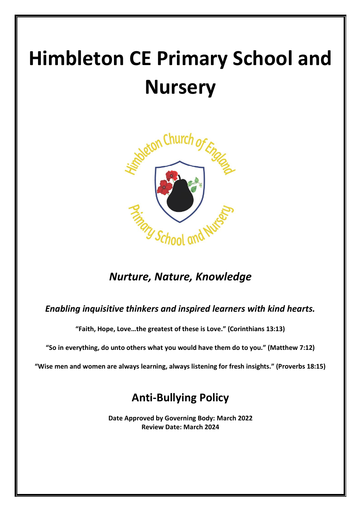# **Himbleton CE Primary School and Nursery**



# *Nurture, Nature, Knowledge*

### *Enabling inquisitive thinkers and inspired learners with kind hearts.*

**"Faith, Hope, Love…the greatest of these is Love." (Corinthians 13:13)**

**"So in everything, do unto others what you would have them do to you." (Matthew 7:12)**

**"Wise men and women are always learning, always listening for fresh insights." (Proverbs 18:15)**

# **Anti-Bullying Policy**

**Date Approved by Governing Body: March 2022 Review Date: March 2024**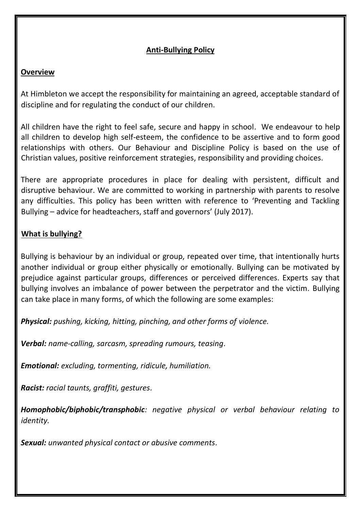#### **Anti-Bullying Policy**

#### **Overview**

At Himbleton we accept the responsibility for maintaining an agreed, acceptable standard of discipline and for regulating the conduct of our children.

All children have the right to feel safe, secure and happy in school. We endeavour to help all children to develop high self‐esteem, the confidence to be assertive and to form good relationships with others. Our Behaviour and Discipline Policy is based on the use of Christian values, positive reinforcement strategies, responsibility and providing choices.

There are appropriate procedures in place for dealing with persistent, difficult and disruptive behaviour. We are committed to working in partnership with parents to resolve any difficulties. This policy has been written with reference to 'Preventing and Tackling Bullying – advice for headteachers, staff and governors' (July 2017).

#### **What is bullying?**

Bullying is behaviour by an individual or group, repeated over time, that intentionally hurts another individual or group either physically or emotionally. Bullying can be motivated by prejudice against particular groups, differences or perceived differences. Experts say that bullying involves an imbalance of power between the perpetrator and the victim. Bullying can take place in many forms, of which the following are some examples:

*Physical: pushing, kicking, hitting, pinching, and other forms of violence.*

*Verbal: name‐calling, sarcasm, spreading rumours, teasing.*

*Emotional: excluding, tormenting, ridicule, humiliation.* 

*Racist: racial taunts, graffiti, gestures.*

*Homophobic/biphobic/transphobic: negative physical or verbal behaviour relating to identity.*

*Sexual: unwanted physical contact or abusive comments.*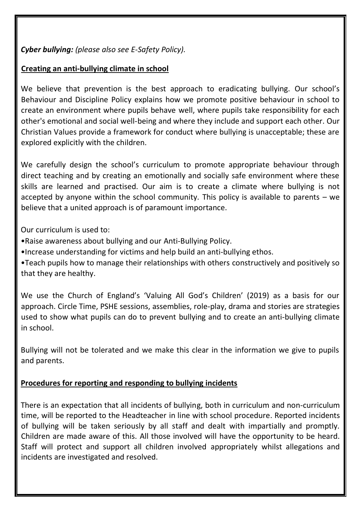#### *Cyber bullying: (please also see E‐Safety Policy).*

#### **Creating an anti‐bullying climate in school**

We believe that prevention is the best approach to eradicating bullying. Our school's Behaviour and Discipline Policy explains how we promote positive behaviour in school to create an environment where pupils behave well, where pupils take responsibility for each other's emotional and social well‐being and where they include and support each other. Our Christian Values provide a framework for conduct where bullying is unacceptable; these are explored explicitly with the children.

We carefully design the school's curriculum to promote appropriate behaviour through direct teaching and by creating an emotionally and socially safe environment where these skills are learned and practised. Our aim is to create a climate where bullying is not accepted by anyone within the school community. This policy is available to parents – we believe that a united approach is of paramount importance.

Our curriculum is used to:

- •Raise awareness about bullying and our Anti‐Bullying Policy.
- •Increase understanding for victims and help build an anti‐bullying ethos.
- •Teach pupils how to manage their relationships with others constructively and positively so that they are healthy.

We use the Church of England's 'Valuing All God's Children' (2019) as a basis for our approach. Circle Time, PSHE sessions, assemblies, role‐play, drama and stories are strategies used to show what pupils can do to prevent bullying and to create an anti‐bullying climate in school.

Bullying will not be tolerated and we make this clear in the information we give to pupils and parents.

#### **Procedures for reporting and responding to bullying incidents**

There is an expectation that all incidents of bullying, both in curriculum and non-curriculum time, will be reported to the Headteacher in line with school procedure. Reported incidents of bullying will be taken seriously by all staff and dealt with impartially and promptly. Children are made aware of this. All those involved will have the opportunity to be heard. Staff will protect and support all children involved appropriately whilst allegations and incidents are investigated and resolved.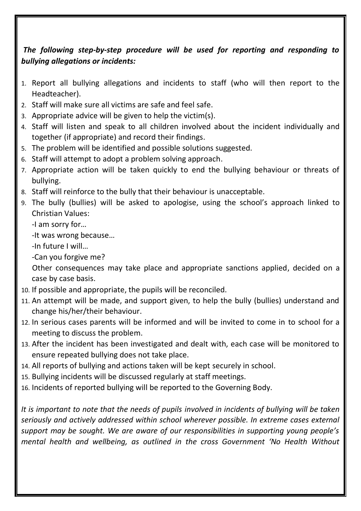## *The following step‐by‐step procedure will be used for reporting and responding to bullying allegations or incidents:*

- 1. Report all bullying allegations and incidents to staff (who will then report to the Headteacher).
- 2. Staff will make sure all victims are safe and feel safe.
- 3. Appropriate advice will be given to help the victim(s).
- 4. Staff will listen and speak to all children involved about the incident individually and together (if appropriate) and record their findings.
- 5. The problem will be identified and possible solutions suggested.
- 6. Staff will attempt to adopt a problem solving approach.
- 7. Appropriate action will be taken quickly to end the bullying behaviour or threats of bullying.
- 8. Staff will reinforce to the bully that their behaviour is unacceptable.
- 9. The bully (bullies) will be asked to apologise, using the school's approach linked to Christian Values:

-I am sorry for…

-It was wrong because…

-In future I will…

-Can you forgive me?

Other consequences may take place and appropriate sanctions applied, decided on a case by case basis.

- 10. If possible and appropriate, the pupils will be reconciled.
- 11. An attempt will be made, and support given, to help the bully (bullies) understand and change his/her/their behaviour.
- 12. In serious cases parents will be informed and will be invited to come in to school for a meeting to discuss the problem.
- 13. After the incident has been investigated and dealt with, each case will be monitored to ensure repeated bullying does not take place.
- 14. All reports of bullying and actions taken will be kept securely in school.
- 15. Bullying incidents will be discussed regularly at staff meetings.
- 16. Incidents of reported bullying will be reported to the Governing Body.

*It is important to note that the needs of pupils involved in incidents of bullying will be taken seriously and actively addressed within school wherever possible. In extreme cases external support may be sought. We are aware of our responsibilities in supporting young people's mental health and wellbeing, as outlined in the cross Government 'No Health Without*